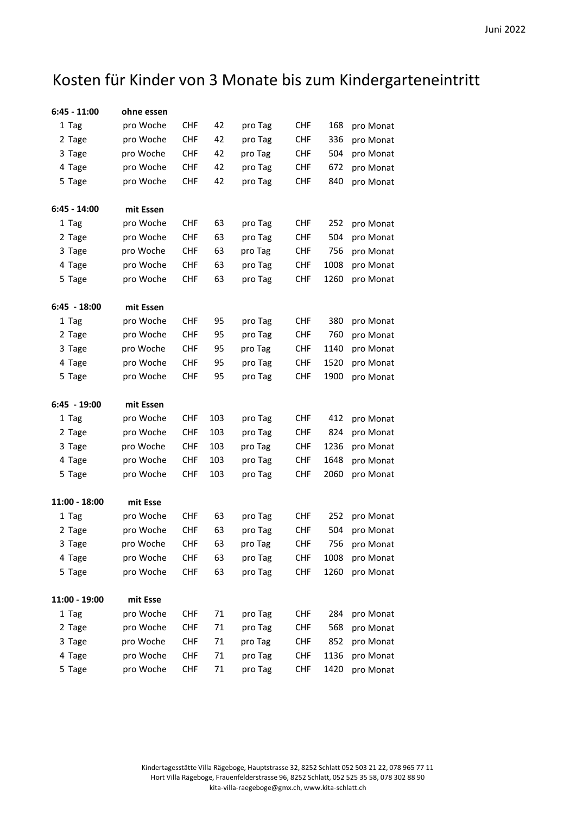## Kosten für Kinder von 3 Monate bis zum Kindergarteneintritt

| ohne essen |            |     |         |            |      |           |
|------------|------------|-----|---------|------------|------|-----------|
| pro Woche  | <b>CHF</b> | 42  | pro Tag | <b>CHF</b> | 168  | pro Monat |
| pro Woche  | <b>CHF</b> | 42  | pro Tag | <b>CHF</b> | 336  | pro Monat |
| pro Woche  | <b>CHF</b> | 42  | pro Tag | <b>CHF</b> | 504  | pro Monat |
| pro Woche  | <b>CHF</b> | 42  | pro Tag | <b>CHF</b> | 672  | pro Monat |
| pro Woche  | <b>CHF</b> | 42  | pro Tag | <b>CHF</b> | 840  | pro Monat |
| mit Essen  |            |     |         |            |      |           |
| pro Woche  | <b>CHF</b> | 63  | pro Tag | <b>CHF</b> | 252  | pro Monat |
| pro Woche  | <b>CHF</b> | 63  | pro Tag | <b>CHF</b> | 504  | pro Monat |
| pro Woche  | <b>CHF</b> | 63  | pro Tag | <b>CHF</b> | 756  | pro Monat |
| pro Woche  | <b>CHF</b> | 63  | pro Tag | <b>CHF</b> | 1008 | pro Monat |
| pro Woche  | <b>CHF</b> | 63  | pro Tag | <b>CHF</b> | 1260 | pro Monat |
| mit Essen  |            |     |         |            |      |           |
| pro Woche  | <b>CHF</b> | 95  | pro Tag | <b>CHF</b> | 380  | pro Monat |
| pro Woche  | <b>CHF</b> | 95  | pro Tag | <b>CHF</b> | 760  | pro Monat |
| pro Woche  | <b>CHF</b> | 95  | pro Tag | <b>CHF</b> | 1140 | pro Monat |
| pro Woche  | <b>CHF</b> | 95  | pro Tag | <b>CHF</b> | 1520 | pro Monat |
| pro Woche  | <b>CHF</b> | 95  | pro Tag | <b>CHF</b> | 1900 | pro Monat |
| mit Essen  |            |     |         |            |      |           |
|            | <b>CHF</b> | 103 | pro Tag | <b>CHF</b> | 412  | pro Monat |
|            |            |     |         |            |      |           |
| pro Woche  | <b>CHF</b> | 103 | pro Tag | <b>CHF</b> | 824  | pro Monat |
| pro Woche  | <b>CHF</b> | 103 | pro Tag | <b>CHF</b> | 1236 | pro Monat |
| pro Woche  | <b>CHF</b> | 103 | pro Tag | <b>CHF</b> | 1648 | pro Monat |
| pro Woche  | <b>CHF</b> | 103 | pro Tag | <b>CHF</b> | 2060 | pro Monat |
| mit Esse   |            |     |         |            |      |           |
| pro Woche  | <b>CHF</b> | 63  | pro Tag | <b>CHF</b> | 252  | pro Monat |
| pro Woche  | <b>CHF</b> | 63  | pro Tag | <b>CHF</b> | 504  | pro Monat |
| pro Woche  | <b>CHF</b> | 63  | pro Tag | <b>CHF</b> | 756  | pro Monat |
| pro Woche  | <b>CHF</b> | 63  | pro Tag | <b>CHF</b> | 1008 | pro Monat |
| pro Woche  | <b>CHF</b> | 63  | pro Tag | <b>CHF</b> | 1260 | pro Monat |
| mit Esse   |            |     |         |            |      |           |
| pro Woche  | <b>CHF</b> | 71  | pro Tag | <b>CHF</b> | 284  | pro Monat |
| pro Woche  | <b>CHF</b> | 71  | pro Tag | <b>CHF</b> | 568  | pro Monat |
| pro Woche  | <b>CHF</b> | 71  | pro Tag | <b>CHF</b> | 852  | pro Monat |
| pro Woche  | <b>CHF</b> | 71  | pro Tag | <b>CHF</b> | 1136 | pro Monat |
|            | pro Woche  |     |         |            |      |           |